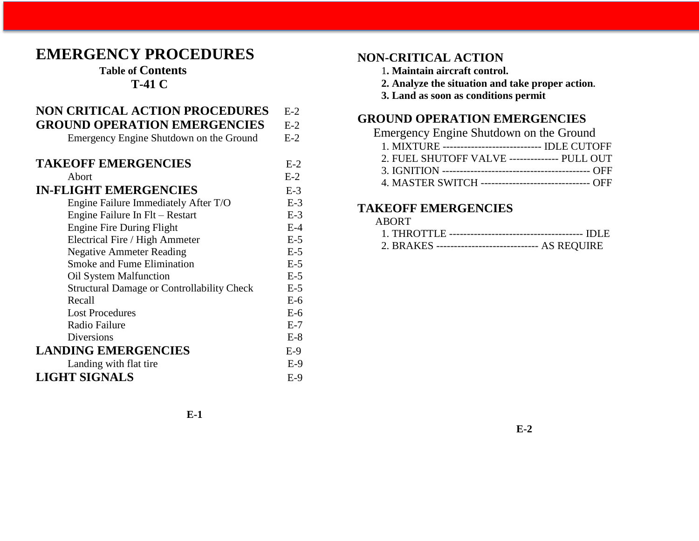# **EMERGENCY PROCEDURES**

### **Table of Contents T-41 C**

| <b>NON CRITICAL ACTION PROCEDURES</b>             | $E-2$ |
|---------------------------------------------------|-------|
| <b>GROUND OPERATION EMERGENCIES</b>               | $E-2$ |
| Emergency Engine Shutdown on the Ground           | $E-2$ |
| <b>TAKEOFF EMERGENCIES</b>                        |       |
|                                                   | $E-2$ |
| Abort                                             | $E-2$ |
| <b>IN-FLIGHT EMERGENCIES</b>                      | $E-3$ |
| Engine Failure Immediately After T/O              | $E-3$ |
| Engine Failure In Flt – Restart                   | $E-3$ |
| <b>Engine Fire During Flight</b>                  | $E-4$ |
| Electrical Fire / High Ammeter                    | $E-5$ |
| <b>Negative Ammeter Reading</b>                   | $E-5$ |
| <b>Smoke and Fume Elimination</b>                 | $E-5$ |
| Oil System Malfunction                            | $E-5$ |
| <b>Structural Damage or Controllability Check</b> | $E-5$ |
| Recall                                            | $E-6$ |
| <b>Lost Procedures</b>                            | $E-6$ |
| Radio Failure                                     | $E-7$ |
| <b>Diversions</b>                                 | $E-8$ |
| <b>LANDING EMERGENCIES</b>                        | $E-9$ |
| Landing with flat tire                            | $E-9$ |
| <b>LIGHT SIGNALS</b>                              | $E-9$ |

### **NON-CRITICAL ACTION**

- 1**. Maintain aircraft control.**
- **2. Analyze the situation and take proper action.**
- **3. Land as soon as conditions permit**

# **GROUND OPERATION EMERGENCIES**

| Emergency Engine Shutdown on the Ground               |  |
|-------------------------------------------------------|--|
| 1. MIXTURE ---------------------------- IDLE CUTOFF   |  |
| 2. FUEL SHUTOFF VALVE -------------- PULL OUT         |  |
|                                                       |  |
| 4. MASTER SWITCH -------------------------------- OFF |  |
|                                                       |  |

### **TAKEOFF EMERGENCIES**

| ABORT. |                                                     |
|--------|-----------------------------------------------------|
|        |                                                     |
|        | 2. BRAKES ------------------------------ AS REQUIRE |

**E-1**

**E-2**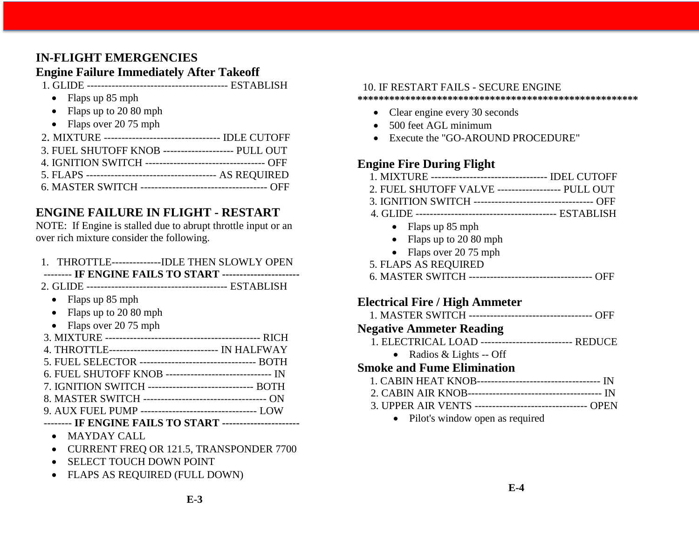# **IN-FLIGHT EMERGENCIES**

### **Engine Failure Immediately After Takeoff**

1. GLIDE ---------------------------------------- ESTABLISH

- Flaps up 85 mph
- Flaps up to 20 80 mph
- Flaps over 20 75 mph
- 2. MIXTURE --------------------------------- IDLE CUTOFF 3. FUEL SHUTOFF KNOB -------------------- PULL OUT 4. IGNITION SWITCH ---------------------------------- OFF
- 5. FLAPS ------------------------------------- AS REQUIRED
- 6. MASTER SWITCH ------------------------------------ OFF

# **ENGINE FAILURE IN FLIGHT - RESTART**

NOTE: If Engine is stalled due to abrupt throttle input or an over rich mixture consider the following.

| 1. THROTTLE---------------IDLE THEN SLOWLY OPEN         |
|---------------------------------------------------------|
| -------- IF ENGINE FAILS TO START --------------------- |

- 2. GLIDE ---------------------------------------- ESTABLISH
	- Flaps up 85 mph
	- Flaps up to 20 80 mph
	- Flaps over 20 75 mph

| 4. THROTTLE------------------------------- IN HALFWAY     |
|-----------------------------------------------------------|
| 5. FUEL SELECTOR ----------------------------------- BOTH |
| 6. FUEL SHUTOFF KNOB -------------------------------- IN  |
| 7. IGNITION SWITCH --------------------------------- BOTH |
|                                                           |
|                                                           |
| -------- IF ENGINE FAILS TO START ---------------------   |

- MAYDAY CALL
- CURRENT FREQ OR 121.5, TRANSPONDER 7700
- SELECT TOUCH DOWN POINT
- FLAPS AS REQUIRED (FULL DOWN)

### 10. IF RESTART FAILS - SECURE ENGINE

#### **\*\*\*\*\*\*\*\*\*\*\*\*\*\*\*\*\*\*\*\*\*\*\*\*\*\*\*\*\*\*\*\*\*\*\*\*\*\*\*\*\*\*\*\*\*\*\*\*\*\*\*\*\***

- Clear engine every 30 seconds
- 500 feet AGL minimum
- Execute the "GO-AROUND PROCEDURE"

# **Engine Fire During Flight**

| Engine rire During riight                                  |  |
|------------------------------------------------------------|--|
| 1. MIXTURE -------------------------------- IDEL CUTOFF    |  |
| 2. FUEL SHUTOFF VALVE ------------------ PULL OUT          |  |
| 3. IGNITION SWITCH ----------------------------------- OFF |  |
|                                                            |  |
| • Flaps up $85$ mph                                        |  |
| • Flaps up to $20\,80$ mph                                 |  |
| • Flaps over $2075$ mph                                    |  |
| 5. FLAPS AS REQUIRED                                       |  |
|                                                            |  |

6. MASTER SWITCH ----------------------------------- OFF

# **Electrical Fire / High Ammeter**

|  | 1. MASTER SWITCH ----------------------------------- OFF |  |
|--|----------------------------------------------------------|--|

### **Negative Ammeter Reading**

- 1. ELECTRICAL LOAD -------------------------- REDUCE
	- Radios & Lights -- Off

# **Smoke and Fume Elimination**

| 3. UPPER AIR VENTS ----------------------------------- OPEN |  |
|-------------------------------------------------------------|--|

• Pilot's window open as required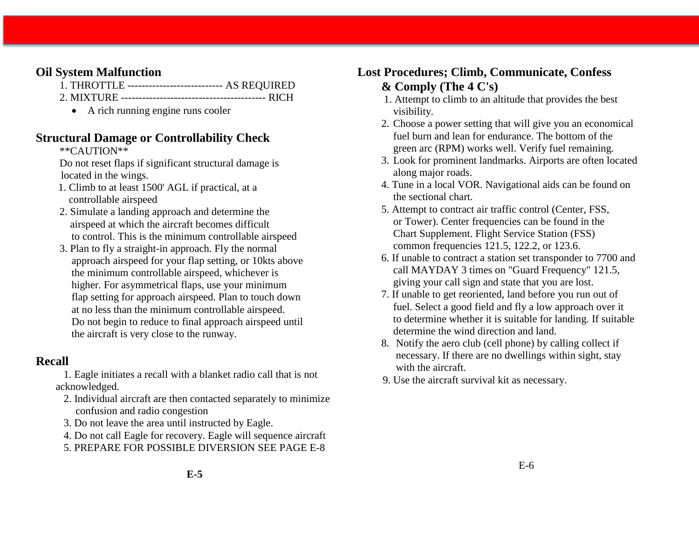### **Oil System Malfunction**

- 1. THROTTLE --------------------------- AS REQUIRED
- 2. MIXTURE ----------------------------------------- RICH
	- A rich running engine runs cooler

### **Structural Damage or Controllability Check**

### \*\*CAUTION\*\*

Do not reset flaps if significant structural damage is located in the wings.

- 1. Climb to at least 1500' AGL if practical, at a controllable airspeed
- 2. Simulate a landing approach and determine the airspeed at which the aircraft becomes difficult to control. This is the minimum controllable airspeed
- 3. Plan to fly a straight-in approach. Fly the normal approach airspeed for your flap setting, or 10kts above the minimum controllable airspeed, whichever is higher. For asymmetrical flaps, use your minimum flap setting for approach airspeed. Plan to touch down at no less than the minimum controllable airspeed. Do not begin to reduce to final approach airspeed until the aircraft is very close to the runway.

### **Recall**

1. Eagle initiates a recall with a blanket radio call that is not acknowledged.

- 2. Individual aircraft are then contacted separately to minimize confusion and radio congestion
- 3. Do not leave the area until instructed by Eagle.
- 4. Do not call Eagle for recovery. Eagle will sequence aircraft
- 5. PREPARE FOR POSSIBLE DIVERSION SEE PAGE E-8

# **Lost Procedures; Climb, Communicate, Confess & Comply (The 4 C's)**

- 1. Attempt to climb to an altitude that provides the best visibility.
- 2. Choose a power setting that will give you an economical fuel burn and lean for endurance. The bottom of the green arc (RPM) works well. Verify fuel remaining.
- 3. Look for prominent landmarks. Airports are often located along major roads.
- 4. Tune in a local VOR. Navigational aids can be found on the sectional chart.
- 5. Attempt to contract air traffic control (Center, FSS, or Tower). Center frequencies can be found in the Chart Supplement. Flight Service Station (FSS) common frequencies 121.5, 122.2, or 123.6.
- 6. If unable to contract a station set transponder to 7700 and call MAYDAY 3 times on "Guard Frequency" 121.5, giving your call sign and state that you are lost.
- 7. If unable to get reoriented, land before you run out of fuel. Select a good field and fly a low approach over it to determine whether it is suitable for landing. If suitable determine the wind direction and land.
- 8. Notify the aero club (cell phone) by calling collect if necessary. If there are no dwellings within sight, stay with the aircraft.
- 9. Use the aircraft survival kit as necessary.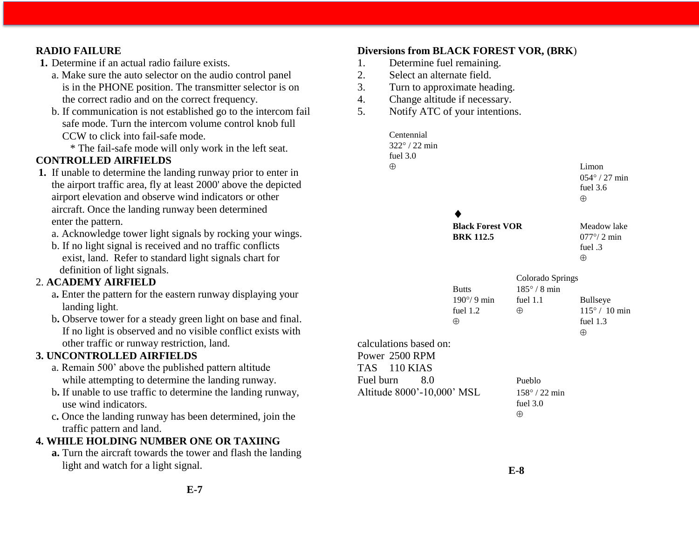### **RADIO FAILURE**

- **1.** Determine if an actual radio failure exists.
	- a. Make sure the auto selector on the audio control panel is in the PHONE position. The transmitter selector is on the correct radio and on the correct frequency.
	- b. If communication is not established go to the intercom fail safe mode. Turn the intercom volume control knob full CCW to click into fail-safe mode.
		- \* The fail-safe mode will only work in the left seat.

### **CONTROLLED AIRFIELDS**

- **1.** If unable to determine the landing runway prior to enter in the airport traffic area, fly at least 2000' above the depicted airport elevation and observe wind indicators or other aircraft. Once the landing runway been determined enter the pattern.
	- a. Acknowledge tower light signals by rocking your wings.
	- b. If no light signal is received and no traffic conflicts exist, land. Refer to standard light signals chart for definition of light signals.

### 2. **ACADEMY AIRFIELD**

- a**.** Enter the pattern for the eastern runway displaying your landing light.
- b**.** Observe tower for a steady green light on base and final. If no light is observed and no visible conflict exists with other traffic or runway restriction, land.

### **3. UNCONTROLLED AIRFIELDS**

- a. Remain 500' above the published pattern altitude while attempting to determine the landing runway.
- b**.** If unable to use traffic to determine the landing runway, use wind indicators.
- c**.** Once the landing runway has been determined, join the traffic pattern and land.

### **4. WHILE HOLDING NUMBER ONE OR TAXIING**

**a.** Turn the aircraft towards the tower and flash the landing light and watch for a light signal.

#### **Diversions from BLACK FOREST VOR, (BRK**)

- 1. Determine fuel remaining.
- 2. Select an alternate field.
- 3. Turn to approximate heading.
- 4. Change altitude if necessary.
- 5. Notify ATC of your intentions.

|           | Centennial<br>$322^{\circ}$ / 22 min<br>fuel $3.0$ |                                             |                                                  |                                                                   |
|-----------|----------------------------------------------------|---------------------------------------------|--------------------------------------------------|-------------------------------------------------------------------|
|           | $\oplus$                                           |                                             |                                                  | Limon<br>054° / 27 min<br>fuel $3.6$<br>$\oplus$                  |
|           |                                                    |                                             |                                                  |                                                                   |
|           |                                                    | <b>Black Forest VOR</b><br><b>BRK 112.5</b> |                                                  | Meadow lake<br>$077^{\circ}/2$ min<br>fuel .3<br>$\oplus$         |
|           |                                                    |                                             | Colorado Springs                                 |                                                                   |
|           |                                                    | <b>Butts</b>                                | $185^\circ/8$ min                                |                                                                   |
|           |                                                    | $190^{\circ}/9$ min<br>fuel 1.2<br>$\oplus$ | fuel $1.1$<br>$\oplus$                           | <b>Bullseye</b><br>$115^{\circ}$ / 10 min<br>fuel 1.3<br>$\oplus$ |
|           | calculations based on:                             |                                             |                                                  |                                                                   |
|           | Power 2500 RPM<br>TAS 110 KIAS                     |                                             |                                                  |                                                                   |
| Fuel burn | 8.0                                                |                                             | Pueblo                                           |                                                                   |
|           | Altitude 8000'-10,000' MSL                         |                                             | $158^{\circ}$ / 22 min<br>fuel $3.0$<br>$\oplus$ |                                                                   |
|           |                                                    |                                             |                                                  |                                                                   |